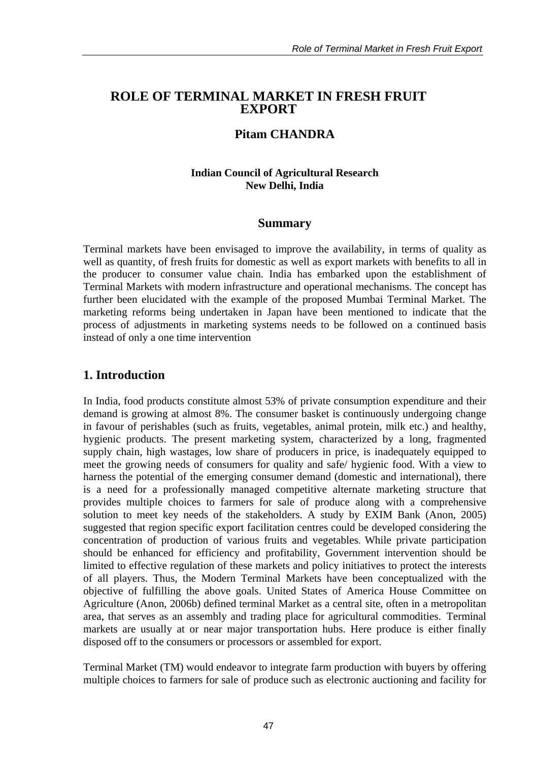### **ROLE OF TERMINAL MARKET IN FRESH FRUIT EXPORT**

### **Pitam CHANDRA**

#### **Indian Council of Agricultural Research New Delhi, India**

#### **Summary**

Terminal markets have been envisaged to improve the availability, in terms of quality as well as quantity, of fresh fruits for domestic as well as export markets with benefits to all in the producer to consumer value chain. India has embarked upon the establishment of Terminal Markets with modern infrastructure and operational mechanisms. The concept has further been elucidated with the example of the proposed Mumbai Terminal Market. The marketing reforms being undertaken in Japan have been mentioned to indicate that the process of adjustments in marketing systems needs to be followed on a continued basis instead of only a one time intervention

### **1. Introduction**

In India, food products constitute almost 53% of private consumption expenditure and their demand is growing at almost 8%. The consumer basket is continuously undergoing change in favour of perishables (such as fruits, vegetables, animal protein, milk etc.) and healthy, hygienic products. The present marketing system, characterized by a long, fragmented supply chain, high wastages, low share of producers in price, is inadequately equipped to meet the growing needs of consumers for quality and safe/ hygienic food. With a view to harness the potential of the emerging consumer demand (domestic and international), there is a need for a professionally managed competitive alternate marketing structure that provides multiple choices to farmers for sale of produce along with a comprehensive solution to meet key needs of the stakeholders. A study by EXIM Bank (Anon, 2005) suggested that region specific export facilitation centres could be developed considering the concentration of production of various fruits and vegetables. While private participation should be enhanced for efficiency and profitability, Government intervention should be limited to effective regulation of these markets and policy initiatives to protect the interests of all players. Thus, the Modern Terminal Markets have been conceptualized with the objective of fulfilling the above goals. United States of America House Committee on Agriculture (Anon, 2006b) defined terminal Market as a central site, often in a metropolitan area, that serves as an assembly and trading place for agricultural commodities. Terminal markets are usually at or near major transportation hubs. Here produce is either finally disposed off to the consumers or processors or assembled for export.

Terminal Market (TM) would endeavor to integrate farm production with buyers by offering multiple choices to farmers for sale of produce such as electronic auctioning and facility for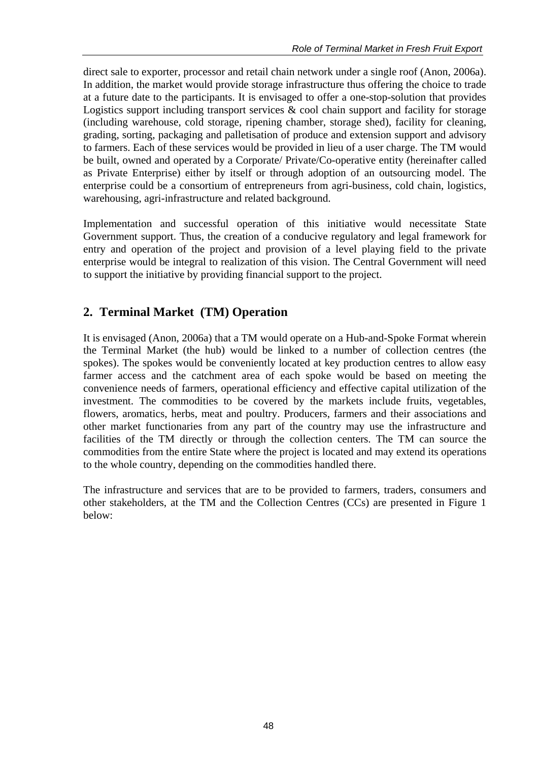direct sale to exporter, processor and retail chain network under a single roof (Anon, 2006a). In addition, the market would provide storage infrastructure thus offering the choice to trade at a future date to the participants. It is envisaged to offer a one-stop-solution that provides Logistics support including transport services  $\&$  cool chain support and facility for storage (including warehouse, cold storage, ripening chamber, storage shed), facility for cleaning, grading, sorting, packaging and palletisation of produce and extension support and advisory to farmers. Each of these services would be provided in lieu of a user charge. The TM would be built, owned and operated by a Corporate/ Private/Co-operative entity (hereinafter called as Private Enterprise) either by itself or through adoption of an outsourcing model. The enterprise could be a consortium of entrepreneurs from agri-business, cold chain, logistics, warehousing, agri-infrastructure and related background.

Implementation and successful operation of this initiative would necessitate State Government support. Thus, the creation of a conducive regulatory and legal framework for entry and operation of the project and provision of a level playing field to the private enterprise would be integral to realization of this vision. The Central Government will need to support the initiative by providing financial support to the project.

# **2. Terminal Market (TM) Operation**

It is envisaged (Anon, 2006a) that a TM would operate on a Hub-and-Spoke Format wherein the Terminal Market (the hub) would be linked to a number of collection centres (the spokes). The spokes would be conveniently located at key production centres to allow easy farmer access and the catchment area of each spoke would be based on meeting the convenience needs of farmers, operational efficiency and effective capital utilization of the investment. The commodities to be covered by the markets include fruits, vegetables, flowers, aromatics, herbs, meat and poultry. Producers, farmers and their associations and other market functionaries from any part of the country may use the infrastructure and facilities of the TM directly or through the collection centers. The TM can source the commodities from the entire State where the project is located and may extend its operations to the whole country, depending on the commodities handled there.

The infrastructure and services that are to be provided to farmers, traders, consumers and other stakeholders, at the TM and the Collection Centres (CCs) are presented in Figure 1 below: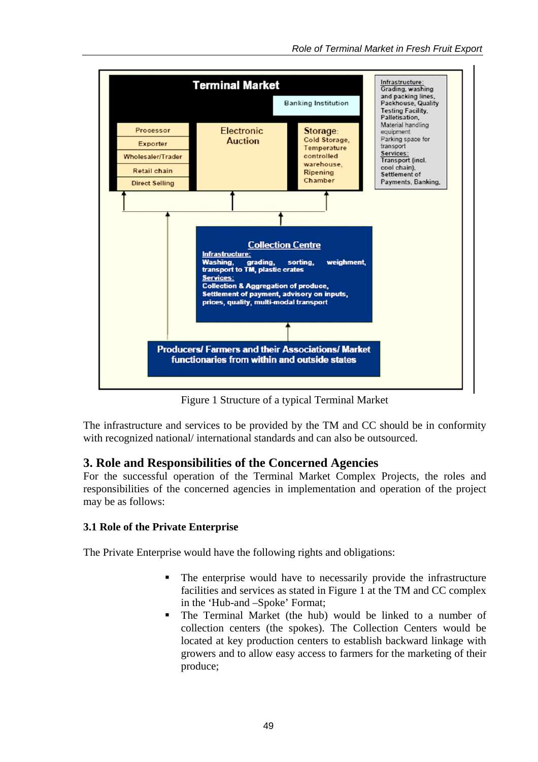

Figure 1 Structure of a typical Terminal Market

The infrastructure and services to be provided by the TM and CC should be in conformity with recognized national/ international standards and can also be outsourced.

### **3. Role and Responsibilities of the Concerned Agencies**

For the successful operation of the Terminal Market Complex Projects, the roles and responsibilities of the concerned agencies in implementation and operation of the project may be as follows:

#### **3.1 Role of the Private Enterprise**

The Private Enterprise would have the following rights and obligations:

- The enterprise would have to necessarily provide the infrastructure facilities and services as stated in Figure 1 at the TM and CC complex in the 'Hub-and –Spoke' Format;
- The Terminal Market (the hub) would be linked to a number of collection centers (the spokes). The Collection Centers would be located at key production centers to establish backward linkage with growers and to allow easy access to farmers for the marketing of their produce;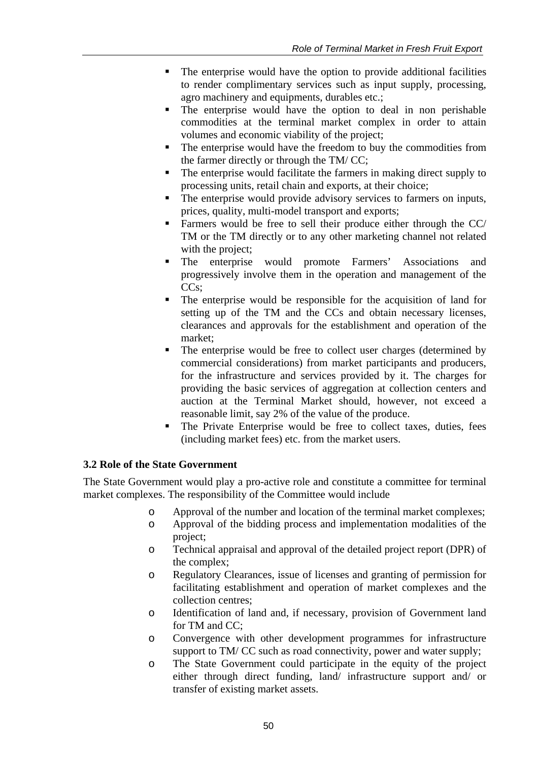- The enterprise would have the option to provide additional facilities to render complimentary services such as input supply, processing, agro machinery and equipments, durables etc.;
- The enterprise would have the option to deal in non perishable commodities at the terminal market complex in order to attain volumes and economic viability of the project;
- The enterprise would have the freedom to buy the commodities from the farmer directly or through the TM/ CC;
- The enterprise would facilitate the farmers in making direct supply to processing units, retail chain and exports, at their choice;
- The enterprise would provide advisory services to farmers on inputs, prices, quality, multi-model transport and exports;
- Farmers would be free to sell their produce either through the CC/ TM or the TM directly or to any other marketing channel not related with the project:
- The enterprise would promote Farmers' Associations and progressively involve them in the operation and management of the CC<sub>s</sub>:
- The enterprise would be responsible for the acquisition of land for setting up of the TM and the CCs and obtain necessary licenses, clearances and approvals for the establishment and operation of the market;
- The enterprise would be free to collect user charges (determined by commercial considerations) from market participants and producers, for the infrastructure and services provided by it. The charges for providing the basic services of aggregation at collection centers and auction at the Terminal Market should, however, not exceed a reasonable limit, say 2% of the value of the produce.
- The Private Enterprise would be free to collect taxes, duties, fees (including market fees) etc. from the market users.

### **3.2 Role of the State Government**

The State Government would play a pro-active role and constitute a committee for terminal market complexes. The responsibility of the Committee would include

- o Approval of the number and location of the terminal market complexes;
- o Approval of the bidding process and implementation modalities of the project;
- o Technical appraisal and approval of the detailed project report (DPR) of the complex;
- o Regulatory Clearances, issue of licenses and granting of permission for facilitating establishment and operation of market complexes and the collection centres;
- o Identification of land and, if necessary, provision of Government land for TM and CC;
- o Convergence with other development programmes for infrastructure support to TM/CC such as road connectivity, power and water supply;
- o The State Government could participate in the equity of the project either through direct funding, land/ infrastructure support and/ or transfer of existing market assets.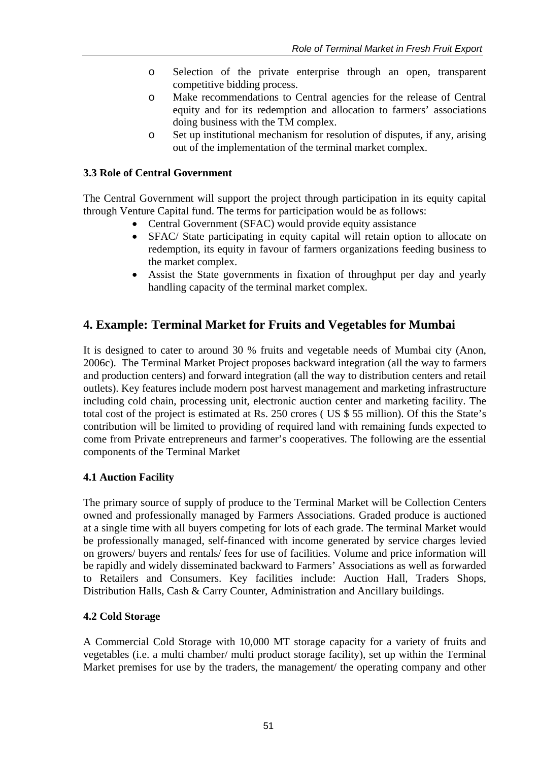- o Selection of the private enterprise through an open, transparent competitive bidding process.
- o Make recommendations to Central agencies for the release of Central equity and for its redemption and allocation to farmers' associations doing business with the TM complex.
- o Set up institutional mechanism for resolution of disputes, if any, arising out of the implementation of the terminal market complex.

#### **3.3 Role of Central Government**

The Central Government will support the project through participation in its equity capital through Venture Capital fund. The terms for participation would be as follows:

- Central Government (SFAC) would provide equity assistance
- SFAC/ State participating in equity capital will retain option to allocate on redemption, its equity in favour of farmers organizations feeding business to the market complex.
- Assist the State governments in fixation of throughput per day and yearly handling capacity of the terminal market complex.

## **4. Example:Terminal Market for Fruits and Vegetables for Mumbai**

It is designed to cater to around 30 % fruits and vegetable needs of Mumbai city (Anon, 2006c). The Terminal Market Project proposes backward integration (all the way to farmers and production centers) and forward integration (all the way to distribution centers and retail outlets). Key features include modern post harvest management and marketing infrastructure including cold chain, processing unit, electronic auction center and marketing facility. The total cost of the project is estimated at Rs. 250 crores ( US \$ 55 million). Of this the State's contribution will be limited to providing of required land with remaining funds expected to come from Private entrepreneurs and farmer's cooperatives. The following are the essential components of the Terminal Market

### **4.1 Auction Facility**

The primary source of supply of produce to the Terminal Market will be Collection Centers owned and professionally managed by Farmers Associations. Graded produce is auctioned at a single time with all buyers competing for lots of each grade. The terminal Market would be professionally managed, self-financed with income generated by service charges levied on growers/ buyers and rentals/ fees for use of facilities. Volume and price information will be rapidly and widely disseminated backward to Farmers' Associations as well as forwarded to Retailers and Consumers. Key facilities include: Auction Hall, Traders Shops, Distribution Halls, Cash & Carry Counter, Administration and Ancillary buildings.

#### **4.2 Cold Storage**

A Commercial Cold Storage with 10,000 MT storage capacity for a variety of fruits and vegetables (i.e. a multi chamber/ multi product storage facility), set up within the Terminal Market premises for use by the traders, the management/ the operating company and other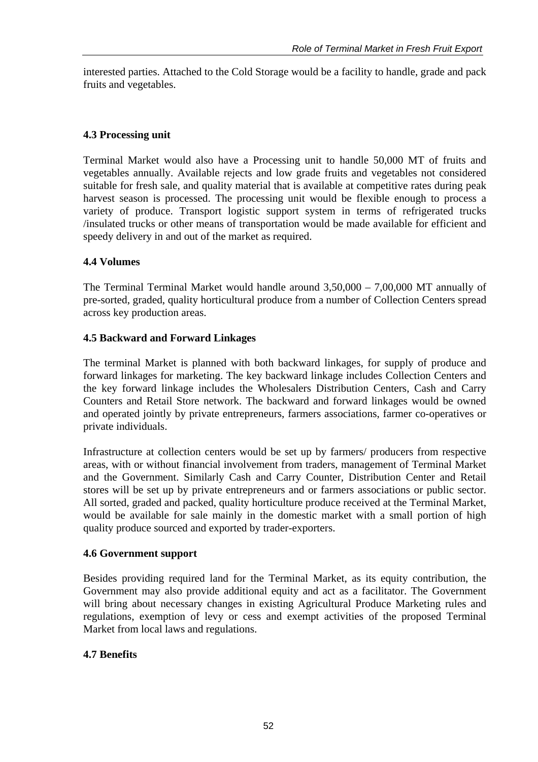interested parties. Attached to the Cold Storage would be a facility to handle, grade and pack fruits and vegetables.

### **4.3 Processing unit**

Terminal Market would also have a Processing unit to handle 50,000 MT of fruits and vegetables annually. Available rejects and low grade fruits and vegetables not considered suitable for fresh sale, and quality material that is available at competitive rates during peak harvest season is processed. The processing unit would be flexible enough to process a variety of produce. Transport logistic support system in terms of refrigerated trucks /insulated trucks or other means of transportation would be made available for efficient and speedy delivery in and out of the market as required.

### **4.4 Volumes**

The Terminal Terminal Market would handle around 3,50,000 – 7,00,000 MT annually of pre-sorted, graded, quality horticultural produce from a number of Collection Centers spread across key production areas.

### **4.5 Backward and Forward Linkages**

The terminal Market is planned with both backward linkages, for supply of produce and forward linkages for marketing. The key backward linkage includes Collection Centers and the key forward linkage includes the Wholesalers Distribution Centers, Cash and Carry Counters and Retail Store network. The backward and forward linkages would be owned and operated jointly by private entrepreneurs, farmers associations, farmer co-operatives or private individuals.

Infrastructure at collection centers would be set up by farmers/ producers from respective areas, with or without financial involvement from traders, management of Terminal Market and the Government. Similarly Cash and Carry Counter, Distribution Center and Retail stores will be set up by private entrepreneurs and or farmers associations or public sector. All sorted, graded and packed, quality horticulture produce received at the Terminal Market, would be available for sale mainly in the domestic market with a small portion of high quality produce sourced and exported by trader-exporters.

#### **4.6 Government support**

Besides providing required land for the Terminal Market, as its equity contribution, the Government may also provide additional equity and act as a facilitator. The Government will bring about necessary changes in existing Agricultural Produce Marketing rules and regulations, exemption of levy or cess and exempt activities of the proposed Terminal Market from local laws and regulations.

#### **4.7 Benefits**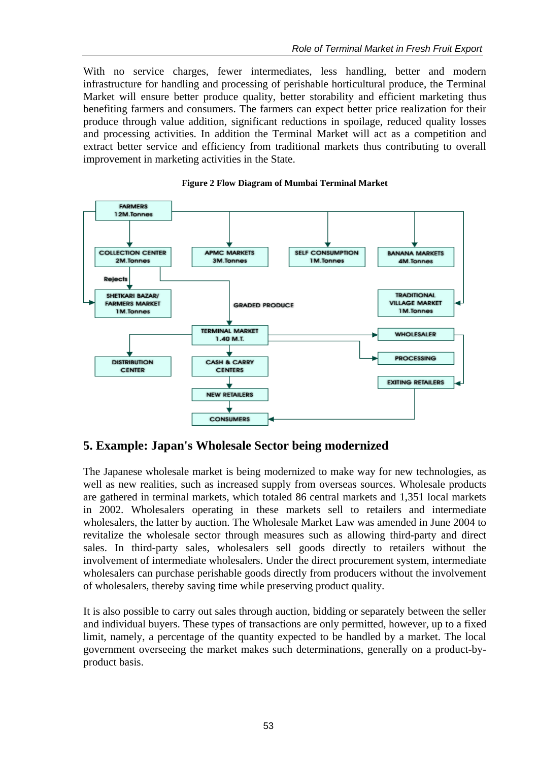With no service charges, fewer intermediates, less handling, better and modern infrastructure for handling and processing of perishable horticultural produce, the Terminal Market will ensure better produce quality, better storability and efficient marketing thus benefiting farmers and consumers. The farmers can expect better price realization for their produce through value addition, significant reductions in spoilage, reduced quality losses and processing activities. In addition the Terminal Market will act as a competition and extract better service and efficiency from traditional markets thus contributing to overall improvement in marketing activities in the State.



#### **Figure 2 Flow Diagram of Mumbai Terminal Market**

### **5. Example: Japan's Wholesale Sector being modernized**

The Japanese wholesale market is being modernized to make way for new technologies, as well as new realities, such as increased supply from overseas sources. Wholesale products are gathered in terminal markets, which totaled 86 central markets and 1,351 local markets in 2002. Wholesalers operating in these markets sell to retailers and intermediate wholesalers, the latter by auction. The Wholesale Market Law was amended in June 2004 to revitalize the wholesale sector through measures such as allowing third-party and direct sales. In third-party sales, wholesalers sell goods directly to retailers without the involvement of intermediate wholesalers. Under the direct procurement system, intermediate wholesalers can purchase perishable goods directly from producers without the involvement of wholesalers, thereby saving time while preserving product quality.

It is also possible to carry out sales through auction, bidding or separately between the seller and individual buyers. These types of transactions are only permitted, however, up to a fixed limit, namely, a percentage of the quantity expected to be handled by a market. The local government overseeing the market makes such determinations, generally on a product-byproduct basis.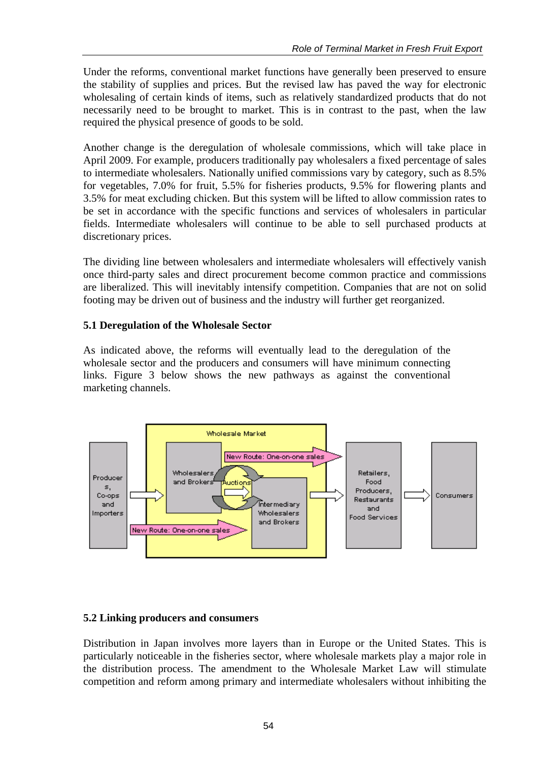Under the reforms, conventional market functions have generally been preserved to ensure the stability of supplies and prices. But the revised law has paved the way for electronic wholesaling of certain kinds of items, such as relatively standardized products that do not necessarily need to be brought to market. This is in contrast to the past, when the law required the physical presence of goods to be sold.

Another change is the deregulation of wholesale commissions, which will take place in April 2009. For example, producers traditionally pay wholesalers a fixed percentage of sales to intermediate wholesalers. Nationally unified commissions vary by category, such as 8.5% for vegetables, 7.0% for fruit, 5.5% for fisheries products, 9.5% for flowering plants and 3.5% for meat excluding chicken. But this system will be lifted to allow commission rates to be set in accordance with the specific functions and services of wholesalers in particular fields. Intermediate wholesalers will continue to be able to sell purchased products at discretionary prices.

The dividing line between wholesalers and intermediate wholesalers will effectively vanish once third-party sales and direct procurement become common practice and commissions are liberalized. This will inevitably intensify competition. Companies that are not on solid footing may be driven out of business and the industry will further get reorganized.

### **5.1 Deregulation of the Wholesale Sector**

As indicated above, the reforms will eventually lead to the deregulation of the wholesale sector and the producers and consumers will have minimum connecting links. Figure 3 below shows the new pathways as against the conventional marketing channels.



#### **5.2 Linking producers and consumers**

Distribution in Japan involves more layers than in Europe or the United States. This is particularly noticeable in the fisheries sector, where wholesale markets play a major role in the distribution process. The amendment to the Wholesale Market Law will stimulate competition and reform among primary and intermediate wholesalers without inhibiting the